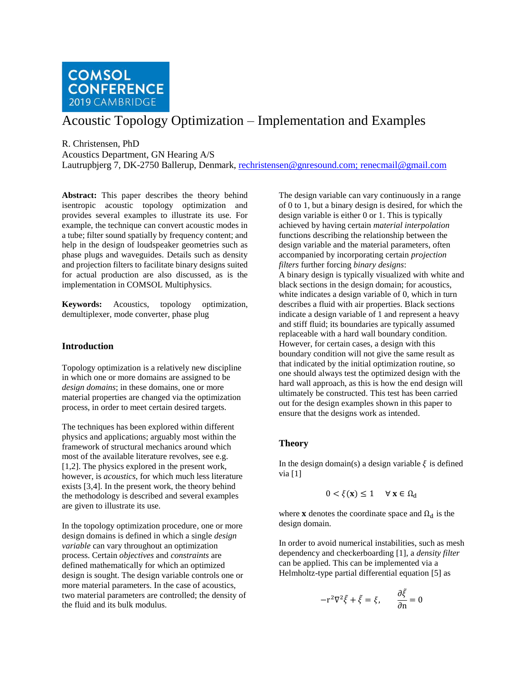

# Acoustic Topology Optimization – Implementation and Examples

R. Christensen, PhD

Acoustics Department, GN Hearing A/S

Lautrupbjerg 7, DK-2750 Ballerup, Denmark, [rechristensen@gnresound.com;](mailto:rechristensen@gnresound.com) renecmail@gmail.com

**Abstract:** This paper describes the theory behind isentropic acoustic topology optimization and provides several examples to illustrate its use. For example, the technique can convert acoustic modes in a tube; filter sound spatially by frequency content; and help in the design of loudspeaker geometries such as phase plugs and waveguides. Details such as density and projection filters to facilitate binary designs suited for actual production are also discussed, as is the implementation in COMSOL Multiphysics.

**Keywords:** Acoustics, topology optimization, demultiplexer, mode converter, phase plug

# **Introduction**

Topology optimization is a relatively new discipline in which one or more domains are assigned to be *design domains*; in these domains, one or more material properties are changed via the optimization process, in order to meet certain desired targets.

The techniques has been explored within different physics and applications; arguably most within the framework of structural mechanics around which most of the available literature revolves, see e.g. [\[1,2](#page-6-0)]. The physics explored in the present work, however, is *acoustics*, for which much less literature exists [\[3,](#page-6-1)[4\]](#page-6-2). In the present work, the theory behind the methodology is described and several examples are given to illustrate its use.

In the topology optimization procedure, one or more design domains is defined in which a single *design variable* can vary throughout an optimization process. Certain *objectives* and *constraints* are defined mathematically for which an optimized design is sought. The design variable controls one or more material parameters. In the case of acoustics, two material parameters are controlled; the density of the fluid and its bulk modulus.

The design variable can vary continuously in a range of 0 to 1, but a binary design is desired, for which the design variable is either 0 or 1. This is typically achieved by having certain *material interpolation*  functions describing the relationship between the design variable and the material parameters, often accompanied by incorporating certain *projection filters* further forcing *binary designs*: A binary design is typically visualized with white and black sections in the design domain; for acoustics, white indicates a design variable of 0, which in turn describes a fluid with air properties. Black sections indicate a design variable of 1 and represent a heavy and stiff fluid; its boundaries are typically assumed replaceable with a hard wall boundary condition. However, for certain cases, a design with this boundary condition will not give the same result as that indicated by the initial optimization routine, so one should always test the optimized design with the hard wall approach, as this is how the end design will ultimately be constructed. This test has been carried out for the design examples shown in this paper to ensure that the designs work as intended.

# **Theory**

In the design domain(s) a design variable  $\xi$  is defined via [\[1\]](#page-6-0)

$$
0 < \xi(\mathbf{x}) \le 1 \quad \forall \mathbf{x} \in \Omega_{\mathrm{d}}
$$

where **x** denotes the coordinate space and  $\Omega_d$  is the design domain.

In order to avoid numerical instabilities, such as mesh dependency and checkerboarding [\[1\]](#page-6-0), a *density filter*  can be applied. This can be implemented via a Helmholtz-type partial differential equation [\[5\]](#page-6-3) as

$$
-r^2 \nabla^2 \tilde{\xi} + \tilde{\xi} = \xi, \qquad \frac{\partial \tilde{\xi}}{\partial n} = 0
$$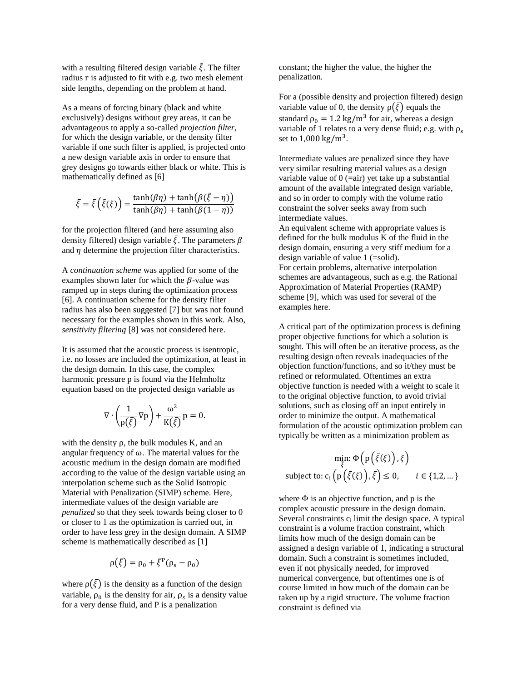with a resulting filtered design variable  $\tilde{\xi}$ . The filter radius r is adjusted to fit with e.g. two mesh element side lengths, depending on the problem at hand.

As a means of forcing binary (black and white exclusively) designs without grey areas, it can be advantageous to apply a so-called *projection filter*, for which the design variable, or the density filter variable if one such filter is applied, is projected onto a new design variable axis in order to ensure that grey designs go towards either black or white. This is mathematically defined as [\[6\]](#page-6-4)

$$
\bar{\xi} = \bar{\xi}(\tilde{\xi}(\xi)) = \frac{\tanh(\beta\eta) + \tanh(\beta(\tilde{\xi} - \eta))}{\tanh(\beta\eta) + \tanh(\beta(1 - \eta))}
$$

for the projection filtered (and here assuming also density filtered) design variable  $\bar{\xi}$ . The parameters  $\beta$ and  $\eta$  determine the projection filter characteristics.

A *continuation scheme* was applied for some of the examples shown later for which the  $\beta$ -value was ramped up in steps during the optimization process [\[6\]](#page-6-4). A continuation scheme for the density filter radius has also been suggested [\[7\]](#page-6-5) but was not found necessary for the examples shown in this work. Also, *sensitivity filtering* [\[8\]](#page-6-6) was not considered here.

It is assumed that the acoustic process is isentropic, i.e. no losses are included the optimization, at least in the design domain. In this case, the complex harmonic pressure p is found via the Helmholtz equation based on the projected design variable as

$$
\nabla \cdot \left(\frac{1}{\rho(\bar{\xi})} \nabla p\right) + \frac{\omega^2}{K(\bar{\xi})} p = 0.
$$

with the density  $\rho$ , the bulk modules K, and an angular frequency of ω. The material values for the acoustic medium in the design domain are modified according to the value of the design variable using an interpolation scheme such as the Solid Isotropic Material with Penalization (SIMP) scheme. Here, intermediate values of the design variable are *penalized* so that they seek towards being closer to 0 or closer to 1 as the optimization is carried out, in order to have less grey in the design domain. A SIMP scheme is mathematically described as [\[1\]](#page-6-0)

$$
\rho(\bar{\xi}) = \rho_0 + \bar{\xi}^P(\rho_s - \rho_0)
$$

where  $\rho(\bar{\xi})$  is the density as a function of the design variable,  $\rho_0$  is the density for air,  $\rho_s$  is a density value for a very dense fluid, and P is a penalization

constant; the higher the value, the higher the penalization.

For a (possible density and projection filtered) design variable value of 0, the density  $\rho(\bar{\xi})$  equals the standard  $\rho_0 = 1.2 \text{ kg/m}^3$  for air, whereas a design variable of 1 relates to a very dense fluid; e.g. with  $\rho_s$ set to  $1,000 \text{ kg/m}^3$ .

Intermediate values are penalized since they have very similar resulting material values as a design variable value of 0 (=air) yet take up a substantial amount of the available integrated design variable, and so in order to comply with the volume ratio constraint the solver seeks away from such intermediate values.

An equivalent scheme with appropriate values is defined for the bulk modulus K of the fluid in the design domain, ensuring a very stiff medium for a design variable of value 1 (=solid). For certain problems, alternative interpolation schemes are advantageous, such as e.g. the Rational Approximation of Material Properties (RAMP) scheme [\[9\]](#page-6-7), which was used for several of the examples here.

A critical part of the optimization process is defining proper objective functions for which a solution is sought. This will often be an iterative process, as the resulting design often reveals inadequacies of the objection function/functions, and so it/they must be refined or reformulated. Oftentimes an extra objective function is needed with a weight to scale it to the original objective function, to avoid trivial solutions, such as closing off an input entirely in order to minimize the output. A mathematical formulation of the acoustic optimization problem can typically be written as a minimization problem as

$$
\min_{\bar{\xi}} \Phi\left(p\left(\bar{\xi}(\xi)\right), \xi\right)
$$
\nsubject to:  $c_i\left(p\left(\bar{\xi}(\xi)\right), \bar{\xi}\right) \le 0, \quad i \in \{1, 2, \dots\}$ 

where  $\Phi$  is an objective function, and p is the complex acoustic pressure in the design domain. Several constraints  $c_i$  limit the design space. A typical constraint is a volume fraction constraint, which limits how much of the design domain can be assigned a design variable of 1, indicating a structural domain. Such a constraint is sometimes included, even if not physically needed, for improved numerical convergence, but oftentimes one is of course limited in how much of the domain can be taken up by a rigid structure. The volume fraction constraint is defined via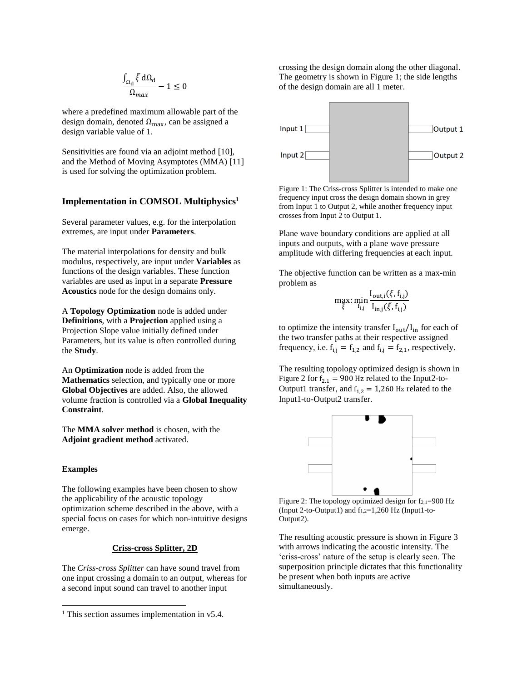$$
\frac{\int_{\Omega_d} \bar{\xi} \, d\Omega_d}{\Omega_{max}} - 1 \leq 0
$$

where a predefined maximum allowable part of the design domain, denoted  $\Omega_{\text{max}}$ , can be assigned a design variable value of 1.

Sensitivities are found via an adjoint method [\[10\]](#page-6-8), and the Method of Moving Asymptotes (MMA) [\[11\]](#page-6-9) is used for solving the optimization problem.

## **Implementation in COMSOL Multiphysics<sup>1</sup>**

Several parameter values, e.g. for the interpolation extremes, are input under **Parameters**.

The material interpolations for density and bulk modulus, respectively, are input under **Variables** as functions of the design variables. These function variables are used as input in a separate **Pressure Acoustics** node for the design domains only.

A **Topology Optimization** node is added under **Definitions**, with a **Projection** applied using a Projection Slope value initially defined under Parameters, but its value is often controlled during the **Study**.

An **Optimization** node is added from the **Mathematics** selection, and typically one or more **Global Objectives** are added. Also, the allowed volume fraction is controlled via a **Global Inequality Constraint**.

The **MMA solver method** is chosen, with the **Adjoint gradient method** activated.

#### **Examples**

l

The following examples have been chosen to show the applicability of the acoustic topology optimization scheme described in the above, with a special focus on cases for which non-intuitive designs emerge.

# **Criss-cross Splitter, 2D**

The *Criss-cross Splitter* can have sound travel from one input crossing a domain to an output, whereas for a second input sound can travel to another input

crossing the design domain along the other diagonal. The geometry is shown in [Figure 1;](#page-2-0) the side lengths of the design domain are all 1 meter.



<span id="page-2-0"></span>Figure 1: The Criss-cross Splitter is intended to make one frequency input cross the design domain shown in grey from Input 1 to Output 2, while another frequency input crosses from Input 2 to Output 1.

Plane wave boundary conditions are applied at all inputs and outputs, with a plane wave pressure amplitude with differing frequencies at each input.

The objective function can be written as a max-min problem as

$$
\max_{\bar{\xi}} \min_{f_{i,j}} \frac{I_{\text{out},i}(\bar{\xi}, f_{i,j})}{I_{\text{in},j}(\bar{\xi}, f_{i,j})}
$$

to optimize the intensity transfer  $I_{out}/I_{in}$  for each of the two transfer paths at their respective assigned frequency, i.e.  $f_{i,j} = f_{1,2}$  and  $f_{i,j} = f_{2,1}$ , respectively.

The resulting topology optimized design is shown in [Figure](#page-2-1) 2 for  $f_{2,1} = 900$  Hz related to the Input2-to-Output1 transfer, and  $f_{1,2} = 1,260$  Hz related to the Input1-to-Output2 transfer.



<span id="page-2-1"></span>Figure 2: The topology optimized design for  $f_{2,1}=900$  Hz (Input 2-to-Output1) and  $f_{1,2}=1,260$  Hz (Input1-to-Output2).

The resulting acoustic pressure is shown i[n Figure 3](#page-3-0) with arrows indicating the acoustic intensity. The 'criss-cross' nature of the setup is clearly seen. The superposition principle dictates that this functionality be present when both inputs are active simultaneously.

<sup>&</sup>lt;sup>1</sup> This section assumes implementation in v5.4.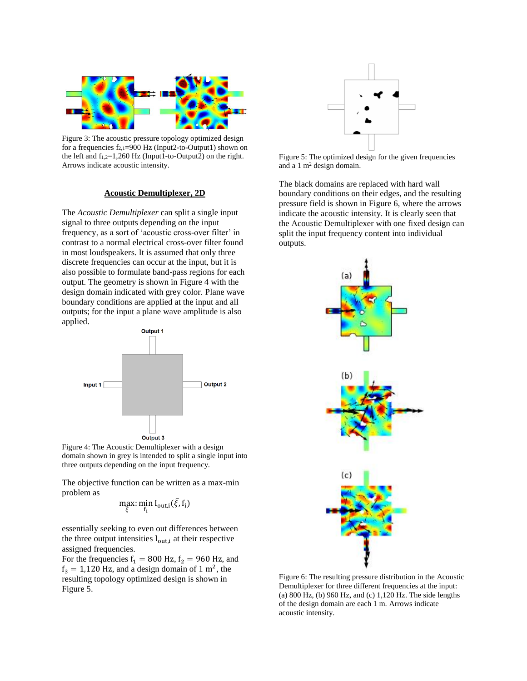

<span id="page-3-0"></span>Figure 3: The acoustic pressure topology optimized design for a frequencies  $f_{2,1}=900$  Hz (Input2-to-Output1) shown on the left and  $f_{1,2}=1,260$  Hz (Input1-to-Output2) on the right. Arrows indicate acoustic intensity.

## **Acoustic Demultiplexer, 2D**

The *Acoustic Demultiplexer* can split a single input signal to three outputs depending on the input frequency, as a sort of 'acoustic cross-over filter' in contrast to a normal electrical cross-over filter found in most loudspeakers. It is assumed that only three discrete frequencies can occur at the input, but it is also possible to formulate band-pass regions for each output. The geometry is shown in [Figure 4](#page-3-1) with the design domain indicated with grey color. Plane wave boundary conditions are applied at the input and all outputs; for the input a plane wave amplitude is also applied.



<span id="page-3-1"></span>Figure 4: The Acoustic Demultiplexer with a design domain shown in grey is intended to split a single input into three outputs depending on the input frequency.

The objective function can be written as a max-min problem as

$$
\max_{\bar{\xi}}:\min_{f_i}I_{out,i}(\bar{\xi},f_i)
$$

essentially seeking to even out differences between the three output intensities  $I_{\text{out},i}$  at their respective assigned frequencies.

For the frequencies  $f_1 = 800$  Hz,  $f_2 = 960$  Hz, and  $f_3 = 1,120$  Hz, and a design domain of 1 m<sup>2</sup>, the resulting topology optimized design is shown in [Figure 5.](#page-3-2)



<span id="page-3-2"></span>Figure 5: The optimized design for the given frequencies and a 1 m<sup>2</sup> design domain.

The black domains are replaced with hard wall boundary conditions on their edges, and the resulting pressure field is shown i[n Figure 6,](#page-3-3) where the arrows indicate the acoustic intensity. It is clearly seen that the Acoustic Demultiplexer with one fixed design can split the input frequency content into individual outputs.



<span id="page-3-3"></span>Figure 6: The resulting pressure distribution in the Acoustic Demultiplexer for three different frequencies at the input: (a)  $800 \text{ Hz}$ , (b)  $960 \text{ Hz}$ , and (c)  $1,120 \text{ Hz}$ . The side lengths of the design domain are each 1 m. Arrows indicate acoustic intensity.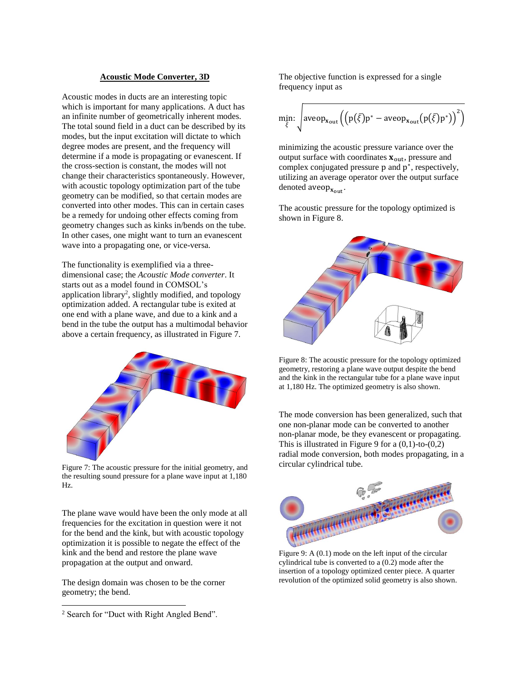#### **Acoustic Mode Converter, 3D**

Acoustic modes in ducts are an interesting topic which is important for many applications. A duct has an infinite number of geometrically inherent modes. The total sound field in a duct can be described by its modes, but the input excitation will dictate to which degree modes are present, and the frequency will determine if a mode is propagating or evanescent. If the cross-section is constant, the modes will not change their characteristics spontaneously. However, with acoustic topology optimization part of the tube geometry can be modified, so that certain modes are converted into other modes. This can in certain cases be a remedy for undoing other effects coming from geometry changes such as kinks in/bends on the tube. In other cases, one might want to turn an evanescent wave into a propagating one, or vice-versa.

The functionality is exemplified via a threedimensional case; the *Acoustic Mode converter*. It starts out as a model found in COMSOL's application library<sup>2</sup>, slightly modified, and topology optimization added. A rectangular tube is exited at one end with a plane wave, and due to a kink and a bend in the tube the output has a multimodal behavior above a certain frequency, as illustrated in [Figure 7.](#page-4-0)



Figure 7: The acoustic pressure for the initial geometry, and the resulting sound pressure for a plane wave input at 1,180 Hz.

<span id="page-4-0"></span>The plane wave would have been the only mode at all frequencies for the excitation in question were it not for the bend and the kink, but with acoustic topology optimization it is possible to negate the effect of the kink and the bend and restore the plane wave propagation at the output and onward.

The design domain was chosen to be the corner geometry; the bend.

l

The objective function is expressed for a single frequency input as

$$
\min_{\bar{\xi}} \cdot \sqrt{\text{aveop}_{\mathbf{x}_{\text{out}}} \left( \left( p(\bar{\xi}) p^* - \text{aveop}_{\mathbf{x}_{\text{out}}} (p(\bar{\xi}) p^*) \right)^2 \right)}
$$

minimizing the acoustic pressure variance over the output surface with coordinates  $x_{\text{out}}$ , pressure and complex conjugated pressure p and p<sup>\*</sup>, respectively, utilizing an average operator over the output surface denoted  $aveop_{x_{out}}$ .

The acoustic pressure for the topology optimized is shown in [Figure 8.](#page-4-1)



<span id="page-4-1"></span>Figure 8: The acoustic pressure for the topology optimized geometry, restoring a plane wave output despite the bend and the kink in the rectangular tube for a plane wave input at 1,180 Hz. The optimized geometry is also shown.

The mode conversion has been generalized, such that one non-planar mode can be converted to another non-planar mode, be they evanescent or propagating. This is illustrated in [Figure 9](#page-4-2) for a  $(0,1)$ -to- $(0,2)$ radial mode conversion, both modes propagating, in a circular cylindrical tube.



<span id="page-4-2"></span>Figure 9: A (0.1) mode on the left input of the circular cylindrical tube is converted to a (0.2) mode after the insertion of a topology optimized center piece. A quarter revolution of the optimized solid geometry is also shown.

<sup>&</sup>lt;sup>2</sup> Search for "Duct with Right Angled Bend".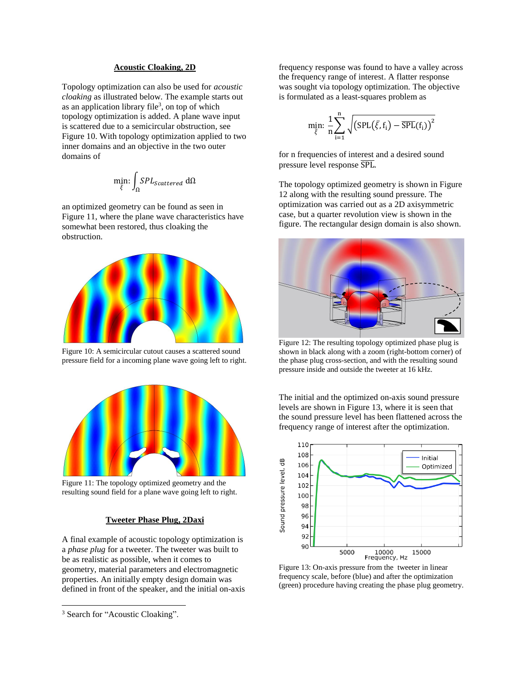### **Acoustic Cloaking, 2D**

Topology optimization can also be used for *acoustic cloaking* as illustrated below. The example starts out as an application library file<sup>3</sup>, on top of which topology optimization is added. A plane wave input is scattered due to a semicircular obstruction, see [Figure 10.](#page-5-0) With topology optimization applied to two inner domains and an objective in the two outer domains of

$$
\min_{\bar{\xi}} \int_{\Omega} SPL_{Scattered} \, d\Omega
$$

an optimized geometry can be found as seen in [Figure 11,](#page-5-1) where the plane wave characteristics have somewhat been restored, thus cloaking the obstruction.



Figure 10: A semicircular cutout causes a scattered sound pressure field for a incoming plane wave going left to right.

<span id="page-5-0"></span>

Figure 11: The topology optimized geometry and the resulting sound field for a plane wave going left to right.

## **Tweeter Phase Plug, 2Daxi**

<span id="page-5-1"></span>A final example of acoustic topology optimization is a *phase plug* for a tweeter. The tweeter was built to be as realistic as possible, when it comes to geometry, material parameters and electromagnetic properties. An initially empty design domain was defined in front of the speaker, and the initial on-axis

l

frequency response was found to have a valley across the frequency range of interest. A flatter response was sought via topology optimization. The objective is formulated as a least-squares problem as

$$
\min_{\bar{\xi}}: \frac{1}{n}\sum_{i=1}^n \sqrt{\left(\text{SPL}\big(\bar{\xi},f_i\big) - \overline{\text{SPL}}(f_i)\right)^2}
$$

for n frequencies of interest and a desired sound pressure level response  $\overline{SPL}$ .

The topology optimized geometry is shown in [Figure](#page-5-2)  [12](#page-5-2) along with the resulting sound pressure. The optimization was carried out as a 2D axisymmetric case, but a quarter revolution view is shown in the figure. The rectangular design domain is also shown.



Figure 12: The resulting topology optimized phase plug is shown in black along with a zoom (right-bottom corner) of the phase plug cross-section, and with the resulting sound pressure inside and outside the tweeter at 16 kHz.

<span id="page-5-2"></span>The initial and the optimized on-axis sound pressure levels are shown in [Figure 13,](#page-5-3) where it is seen that the sound pressure level has been flattened across the frequency range of interest after the optimization.



<span id="page-5-3"></span>Figure 13: On-axis pressure from the tweeter in linear frequency scale, before (blue) and after the optimization (green) procedure having creating the phase plug geometry.

<sup>&</sup>lt;sup>3</sup> Search for "Acoustic Cloaking".